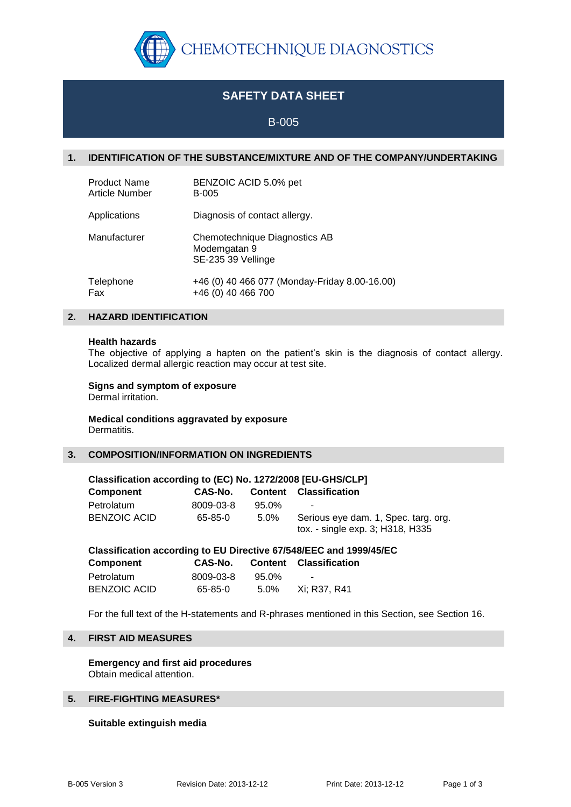

# **SAFETY DATA SHEET**

# B-005

# **1. IDENTIFICATION OF THE SUBSTANCE/MIXTURE AND OF THE COMPANY/UNDERTAKING**

| <b>Product Name</b>   | BENZOIC ACID 5.0% pet                                               |
|-----------------------|---------------------------------------------------------------------|
| <b>Article Number</b> | <b>B-005</b>                                                        |
| Applications          | Diagnosis of contact allergy.                                       |
| Manufacturer          | Chemotechnique Diagnostics AB<br>Modemgatan 9<br>SE-235 39 Vellinge |
| Telephone             | +46 (0) 40 466 077 (Monday-Friday 8.00-16.00)                       |
| Fax                   | +46 (0) 40 466 700                                                  |

## **2. HAZARD IDENTIFICATION**

#### **Health hazards**

The objective of applying a hapten on the patient's skin is the diagnosis of contact allergy. Localized dermal allergic reaction may occur at test site.

## **Signs and symptom of exposure**

Dermal irritation.

#### **Medical conditions aggravated by exposure** Dermatitis.

## **3. COMPOSITION/INFORMATION ON INGREDIENTS**

| Classification according to (EC) No. 1272/2008 [EU-GHS/CLP]          |           |         |                                                                          |  |  |
|----------------------------------------------------------------------|-----------|---------|--------------------------------------------------------------------------|--|--|
| <b>Component</b>                                                     | CAS-No.   | Content | <b>Classification</b>                                                    |  |  |
| Petrolatum                                                           | 8009-03-8 | 95.0%   | -                                                                        |  |  |
| <b>BENZOIC ACID</b>                                                  | 65-85-0   | $5.0\%$ | Serious eye dam. 1, Spec. targ. org.<br>tox. - single exp. 3; H318, H335 |  |  |
| Classification association to FULDivesting CZIEAOIFFO and ADDDIAEIFO |           |         |                                                                          |  |  |

| Classification according to EU Directive 67/548/EEC and 1999/45/EC |           |          |                               |  |  |
|--------------------------------------------------------------------|-----------|----------|-------------------------------|--|--|
| Component                                                          | CAS-No.   |          | <b>Content Classification</b> |  |  |
| Petrolatum                                                         | 8009-03-8 | $95.0\%$ | $\overline{\phantom{a}}$      |  |  |
| <b>BENZOIC ACID</b>                                                | 65-85-0   | 5.0%     | Xi: R37. R41                  |  |  |

For the full text of the H-statements and R-phrases mentioned in this Section, see Section 16.

# **4. FIRST AID MEASURES**

**Emergency and first aid procedures** Obtain medical attention.

# **5. FIRE-FIGHTING MEASURES\***

#### **Suitable extinguish media**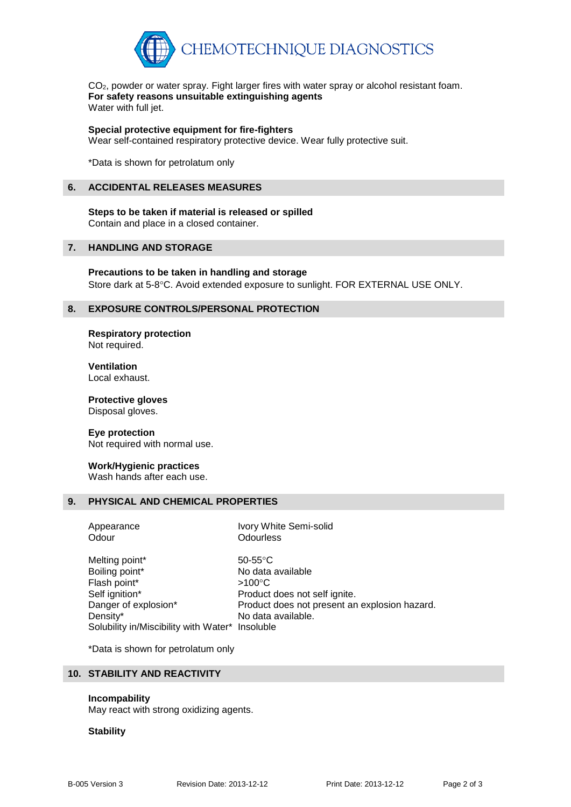

CO2, powder or water spray. Fight larger fires with water spray or alcohol resistant foam. **For safety reasons unsuitable extinguishing agents** Water with full jet.

**Special protective equipment for fire-fighters**

Wear self-contained respiratory protective device. Wear fully protective suit.

\*Data is shown for petrolatum only

#### **6. ACCIDENTAL RELEASES MEASURES**

# **Steps to be taken if material is released or spilled**

Contain and place in a closed container.

# **7. HANDLING AND STORAGE**

**Precautions to be taken in handling and storage** Store dark at 5-8°C. Avoid extended exposure to sunlight. FOR EXTERNAL USE ONLY.

## **8. EXPOSURE CONTROLS/PERSONAL PROTECTION**

**Respiratory protection** Not required.

**Ventilation** Local exhaust.

**Protective gloves** Disposal gloves.

#### **Eye protection**

Not required with normal use.

#### **Work/Hygienic practices**

Wash hands after each use.

# **9. PHYSICAL AND CHEMICAL PROPERTIES**

Odour **Odourless** 

Appearance Ivory White Semi-solid

Melting point\* 50-55°C Boiling point\* No data available Flash point\*  $>100^{\circ}$ C Self ignition\* Product does not self ignite. Danger of explosion\* Product does not present an explosion hazard. Density\* No data available. Solubility in/Miscibility with Water\* Insoluble

\*Data is shown for petrolatum only

# **10. STABILITY AND REACTIVITY**

#### **Incompability**

May react with strong oxidizing agents.

#### **Stability**